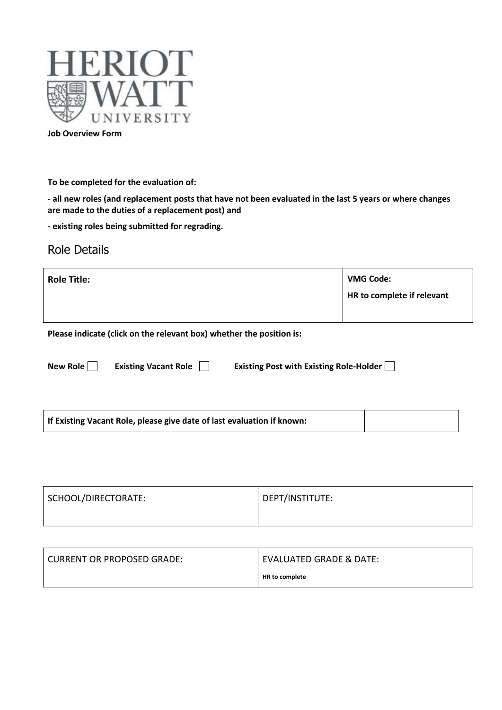

**Job Overview Form**

**To be completed for the evaluation of:**

**- all new roles (and replacement posts that have not been evaluated in the last 5 years or where changes are made to the duties of a replacement post) and** 

**- existing roles being submitted for regrading.**

#### Role Details

| <b>Role Title:</b> | <b>VMG Code:</b><br>HR to complete if relevant |
|--------------------|------------------------------------------------|
|                    |                                                |

**Please indicate (click on the relevant box) whether the position is:**

| New Role |  |
|----------|--|
|          |  |

| g Vacant Role |  |
|---------------|--|
|               |  |

**New Your Existing Vacant Role Communist Constraint Existing Role-Holder** Communist Post with Existing Role-Holder

| SCHOOL/DIRECTORATE: | DEPT/INSTITUTE: |
|---------------------|-----------------|
|                     |                 |

| <b>CURRENT OR PROPOSED GRADE:</b> | <b>EVALUATED GRADE &amp; DATE:</b> |
|-----------------------------------|------------------------------------|
|                                   | HR to complete                     |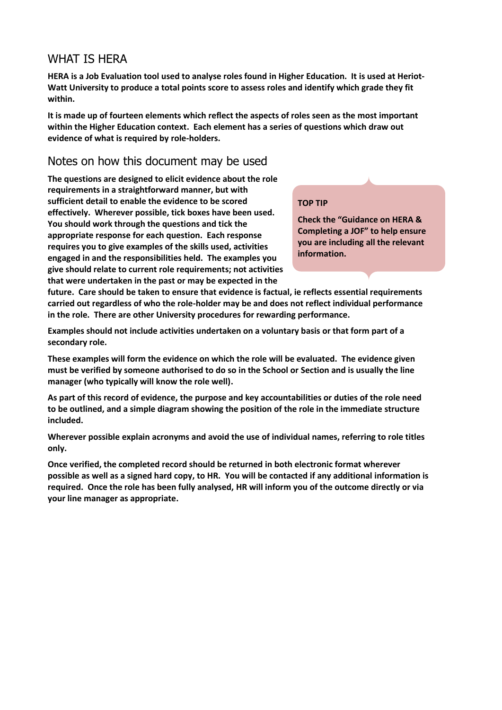#### WHAT IS HERA

**HERA is a Job Evaluation tool used to analyse roles found in Higher Education. It is used at Heriot-Watt University to produce a total points score to assess roles and identify which grade they fit within.**

**It is made up of fourteen elements which reflect the aspects of roles seen as the most important within the Higher Education context. Each element has a series of questions which draw out evidence of what is required by role-holders.** 

#### Notes on how this document may be used

**The questions are designed to elicit evidence about the role requirements in a straightforward manner, but with sufficient detail to enable the evidence to be scored effectively. Wherever possible, tick boxes have been used. You should work through the questions and tick the appropriate response for each question. Each response requires you to give examples of the skills used, activities engaged in and the responsibilities held. The examples you give should relate to current role requirements; not activities that were undertaken in the past or may be expected in the** 

#### **TOP TIP**

**Check the "Guidance on HERA & Completing a JOF" to help ensure you are including all the relevant information.**

**future. Care should be taken to ensure that evidence is factual, ie reflects essential requirements carried out regardless of who the role-holder may be and does not reflect individual performance in the role. There are other University procedures for rewarding performance.**

**Examples should not include activities undertaken on a voluntary basis or that form part of a secondary role.**

**These examples will form the evidence on which the role will be evaluated. The evidence given must be verified by someone authorised to do so in the School or Section and is usually the line manager (who typically will know the role well).**

**As part of this record of evidence, the purpose and key accountabilities or duties of the role need to be outlined, and a simple diagram showing the position of the role in the immediate structure included.**

**Wherever possible explain acronyms and avoid the use of individual names, referring to role titles only.**

**Once verified, the completed record should be returned in both electronic format wherever possible as well as a signed hard copy, to HR. You will be contacted if any additional information is required. Once the role has been fully analysed, HR will inform you of the outcome directly or via your line manager as appropriate.**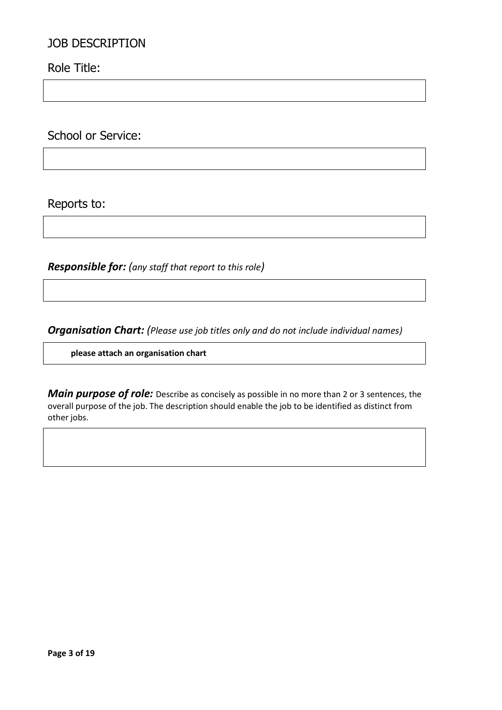#### JOB DESCRIPTION

Role Title:

School or Service:

Reports to:

*Responsible for: (any staff that report to this role)*

*Organisation Chart: (Please use job titles only and do not include individual names)*

**please attach an organisation chart**

*Main purpose of role:* Describe as concisely as possible in no more than 2 or 3 sentences, the overall purpose of the job. The description should enable the job to be identified as distinct from other jobs.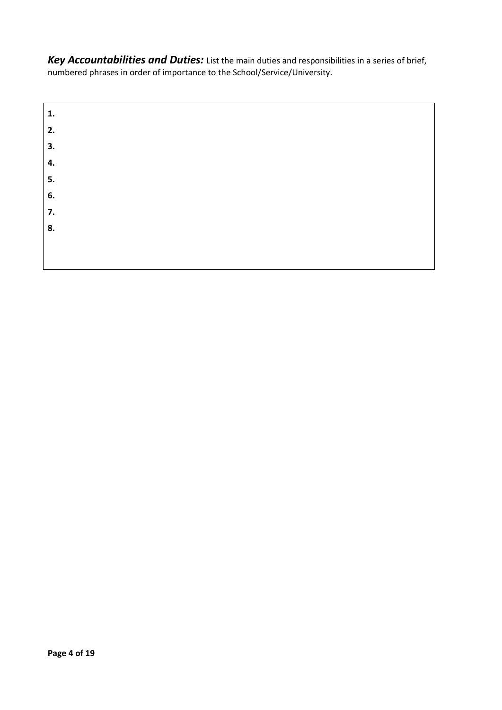*Key Accountabilities and Duties:* List the main duties and responsibilities in a series of brief, numbered phrases in order of importance to the School/Service/University.

| 1. |  |  |
|----|--|--|
| 2. |  |  |
| 3. |  |  |
| 4. |  |  |
| 5. |  |  |
| 6. |  |  |
| 7. |  |  |
| 8. |  |  |
|    |  |  |
|    |  |  |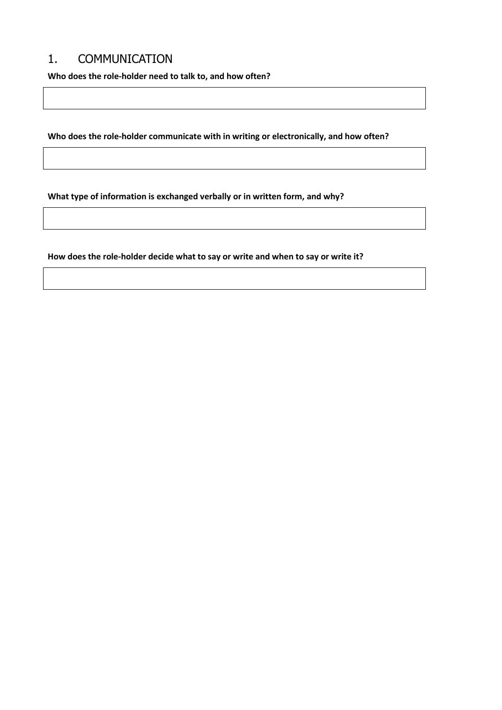## 1. COMMUNICATION

**Who does the role-holder need to talk to, and how often?**

**Who does the role-holder communicate with in writing or electronically, and how often?**

**What type of information is exchanged verbally or in written form, and why?**

**How does the role-holder decide what to say or write and when to say or write it?**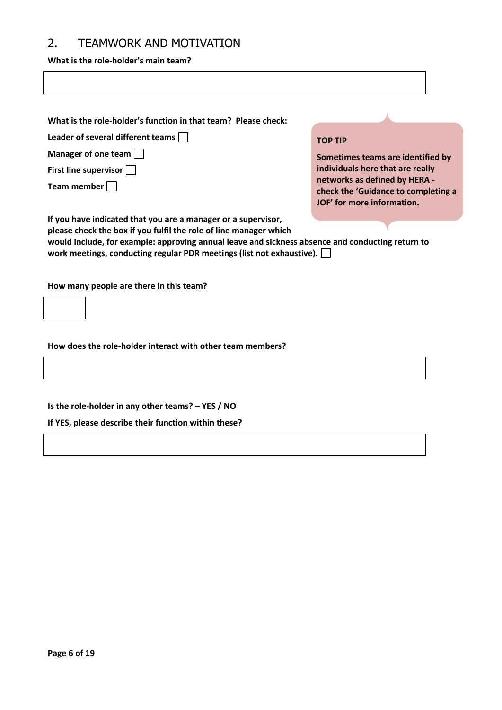## 2. TEAMWORK AND MOTIVATION

**What is the role-holder's main team?**

| What is the role-holder's function in that team? Please check:                                                                                                                                                                                                                                                  |                                                                                                    |  |
|-----------------------------------------------------------------------------------------------------------------------------------------------------------------------------------------------------------------------------------------------------------------------------------------------------------------|----------------------------------------------------------------------------------------------------|--|
| Leader of several different teams                                                                                                                                                                                                                                                                               | <b>TOP TIP</b>                                                                                     |  |
| Manager of one team                                                                                                                                                                                                                                                                                             | Sometimes teams are identified by                                                                  |  |
| First line supervisor                                                                                                                                                                                                                                                                                           | individuals here that are really                                                                   |  |
| Team member                                                                                                                                                                                                                                                                                                     | networks as defined by HERA -<br>check the 'Guidance to completing a<br>JOF' for more information. |  |
| If you have indicated that you are a manager or a supervisor,<br>please check the box if you fulfil the role of line manager which<br>would include, for example: approving annual leave and sickness absence and conducting return to<br>work meetings, conducting regular PDR meetings (list not exhaustive). |                                                                                                    |  |
| How many people are there in this team?                                                                                                                                                                                                                                                                         |                                                                                                    |  |
| How does the role-holder interact with other team members?                                                                                                                                                                                                                                                      |                                                                                                    |  |
|                                                                                                                                                                                                                                                                                                                 |                                                                                                    |  |
| Is the role-holder in any other teams? - YES / NO                                                                                                                                                                                                                                                               |                                                                                                    |  |
| If YES, please describe their function within these?                                                                                                                                                                                                                                                            |                                                                                                    |  |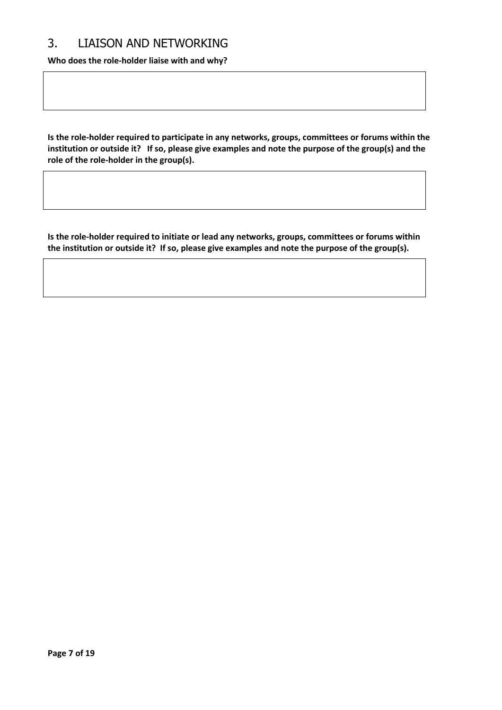#### 3. LIAISON AND NETWORKING

**Who does the role-holder liaise with and why?**

**Is the role-holder required to participate in any networks, groups, committees or forums within the institution or outside it? If so, please give examples and note the purpose of the group(s) and the role of the role-holder in the group(s).**

**Is the role-holder required to initiate or lead any networks, groups, committees or forums within the institution or outside it? If so, please give examples and note the purpose of the group(s).**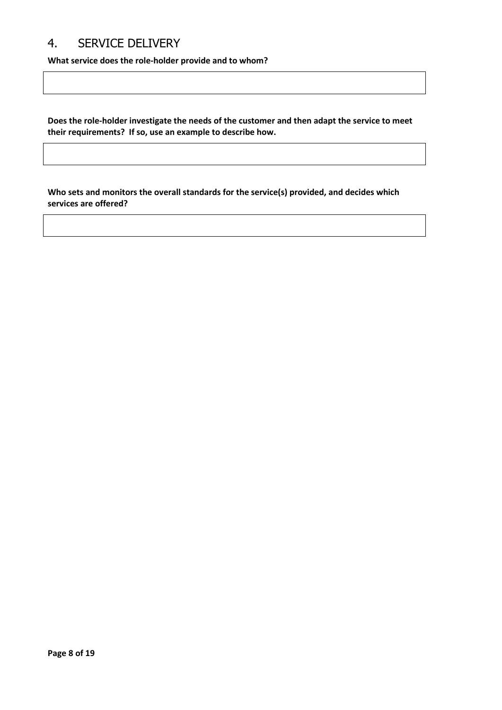# 4. SERVICE DELIVERY

**What service does the role-holder provide and to whom?**

**Does the role-holder investigate the needs of the customer and then adapt the service to meet their requirements? If so, use an example to describe how.**

**Who sets and monitors the overall standards for the service(s) provided, and decides which services are offered?**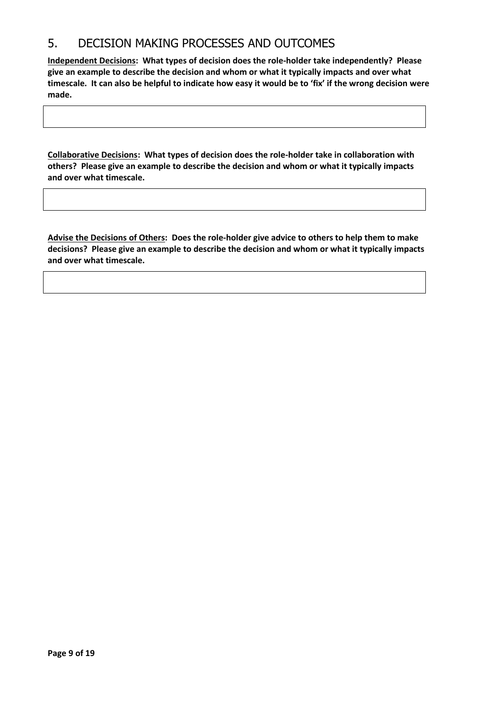#### 5. DECISION MAKING PROCESSES AND OUTCOMES

**Independent Decisions: What types of decision does the role-holder take independently? Please give an example to describe the decision and whom or what it typically impacts and over what timescale. It can also be helpful to indicate how easy it would be to 'fix' if the wrong decision were made.**

**Collaborative Decisions: What types of decision does the role-holder take in collaboration with others? Please give an example to describe the decision and whom or what it typically impacts and over what timescale.**

**Advise the Decisions of Others: Does the role-holder give advice to others to help them to make decisions? Please give an example to describe the decision and whom or what it typically impacts and over what timescale.**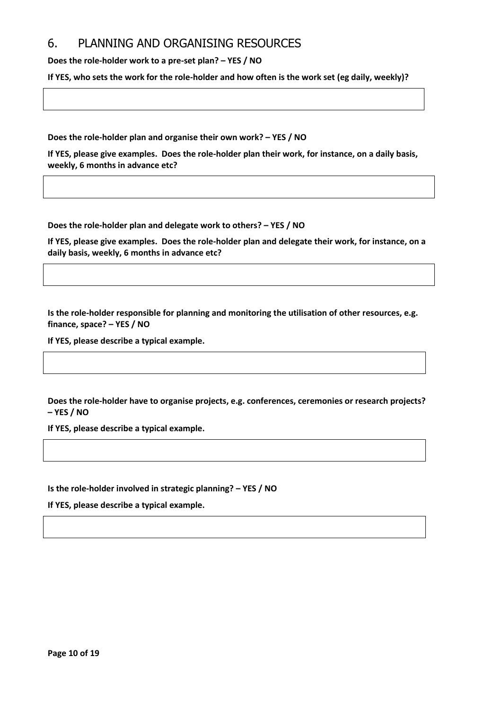#### 6. PLANNING AND ORGANISING RESOURCES

**Does the role-holder work to a pre-set plan? – YES / NO**

**If YES, who sets the work for the role-holder and how often is the work set (eg daily, weekly)?**

**Does the role-holder plan and organise their own work? – YES / NO** 

**If YES, please give examples. Does the role-holder plan their work, for instance, on a daily basis, weekly, 6 months in advance etc?**

**Does the role-holder plan and delegate work to others? – YES / NO**

**If YES, please give examples. Does the role-holder plan and delegate their work, for instance, on a daily basis, weekly, 6 months in advance etc?**

**Is the role-holder responsible for planning and monitoring the utilisation of other resources, e.g. finance, space? – YES / NO**

**If YES, please describe a typical example.**

**Does the role-holder have to organise projects, e.g. conferences, ceremonies or research projects? – YES / NO** 

**If YES, please describe a typical example.**

**Is the role-holder involved in strategic planning? – YES / NO**

**If YES, please describe a typical example.**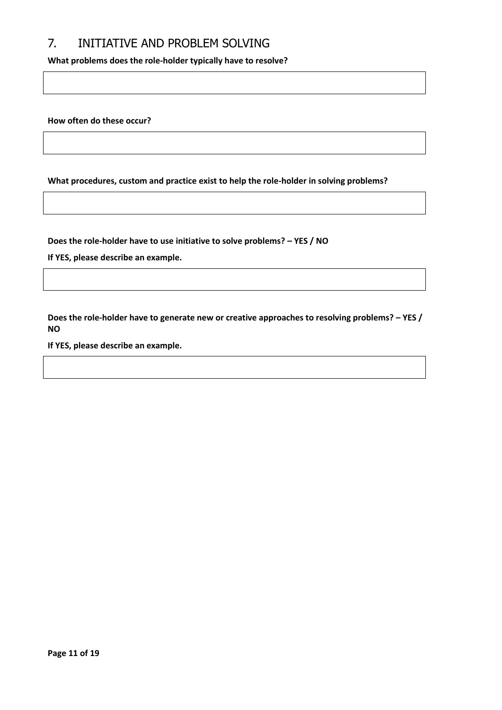## 7. INITIATIVE AND PROBLEM SOLVING

**What problems does the role-holder typically have to resolve?**

**How often do these occur?** 

**What procedures, custom and practice exist to help the role-holder in solving problems?**

**Does the role-holder have to use initiative to solve problems? – YES / NO**

**If YES, please describe an example.**

**Does the role-holder have to generate new or creative approaches to resolving problems? – YES / NO**

**If YES, please describe an example.**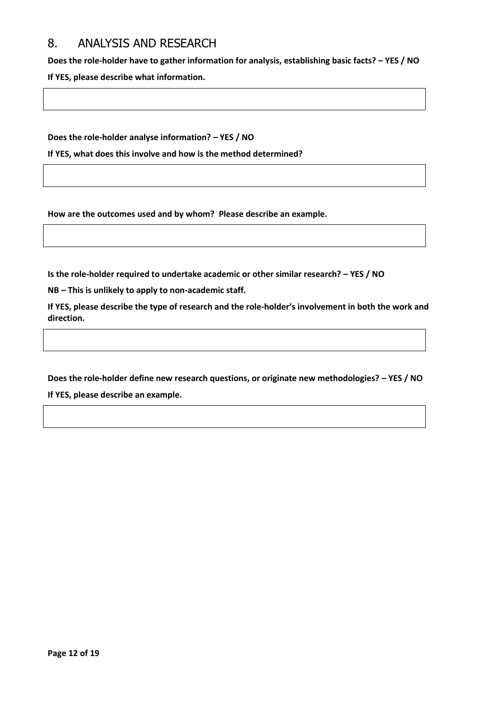#### 8. ANALYSIS AND RESEARCH

**Does the role-holder have to gather information for analysis, establishing basic facts? – YES / NO If YES, please describe what information.**

**Does the role-holder analyse information? – YES / NO**

**If YES, what does this involve and how is the method determined?**

**How are the outcomes used and by whom? Please describe an example.**

**Is the role-holder required to undertake academic or other similar research? – YES / NO**

**NB – This is unlikely to apply to non-academic staff***.*

**If YES, please describe the type of research and the role-holder's involvement in both the work and direction.**

**Does the role-holder define new research questions, or originate new methodologies? – YES / NO If YES, please describe an example.**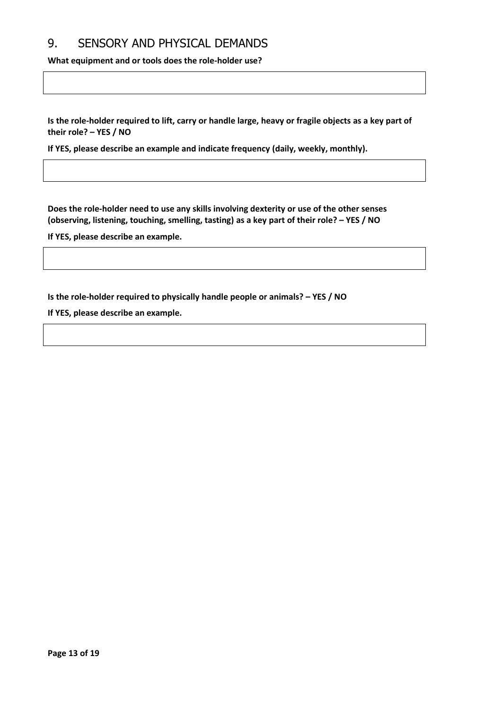#### 9. SENSORY AND PHYSICAL DEMANDS

**What equipment and or tools does the role-holder use?**

**Is the role-holder required to lift, carry or handle large, heavy or fragile objects as a key part of their role? – YES / NO**

**If YES, please describe an example and indicate frequency (daily, weekly, monthly).**

**Does the role-holder need to use any skills involving dexterity or use of the other senses (observing, listening, touching, smelling, tasting) as a key part of their role? – YES / NO**

**If YES, please describe an example.**

**Is the role-holder required to physically handle people or animals? – YES / NO**

**If YES, please describe an example.**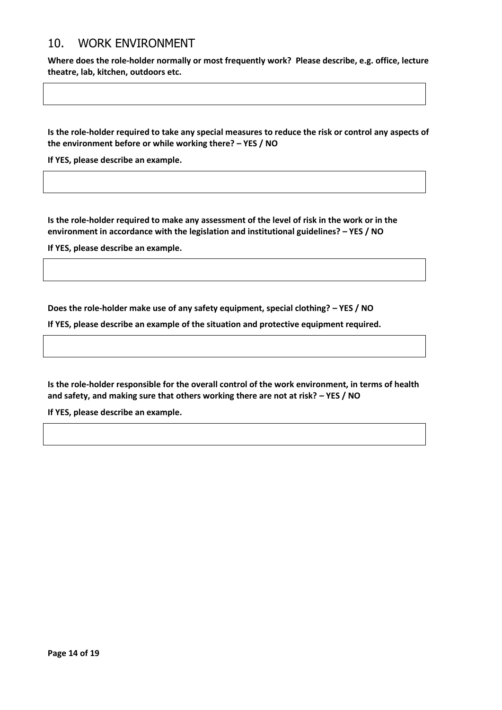#### 10. WORK ENVIRONMENT

**Where does the role-holder normally or most frequently work? Please describe, e.g. office, lecture theatre, lab, kitchen, outdoors etc.**

**Is the role-holder required to take any special measures to reduce the risk or control any aspects of the environment before or while working there? – YES / NO** 

**If YES, please describe an example.**

**Is the role-holder required to make any assessment of the level of risk in the work or in the environment in accordance with the legislation and institutional guidelines? – YES / NO** 

**If YES, please describe an example.**

**Does the role-holder make use of any safety equipment, special clothing? – YES / NO**

**If YES, please describe an example of the situation and protective equipment required.**

**Is the role-holder responsible for the overall control of the work environment, in terms of health and safety, and making sure that others working there are not at risk? – YES / NO**

**If YES, please describe an example.**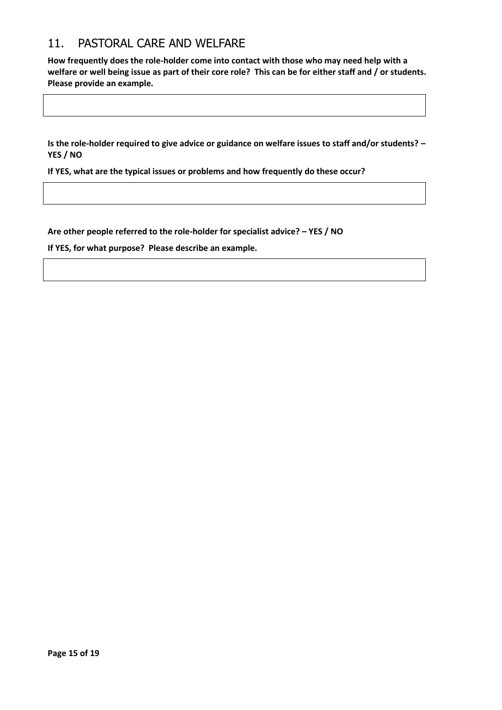## 11. PASTORAL CARE AND WELFARE

**How frequently does the role-holder come into contact with those who may need help with a welfare or well being issue as part of their core role? This can be for either staff and / or students. Please provide an example.**

**Is the role-holder required to give advice or guidance on welfare issues to staff and/or students? – YES / NO**

**If YES, what are the typical issues or problems and how frequently do these occur?** 

**Are other people referred to the role-holder for specialist advice? – YES / NO**

**If YES, for what purpose? Please describe an example.**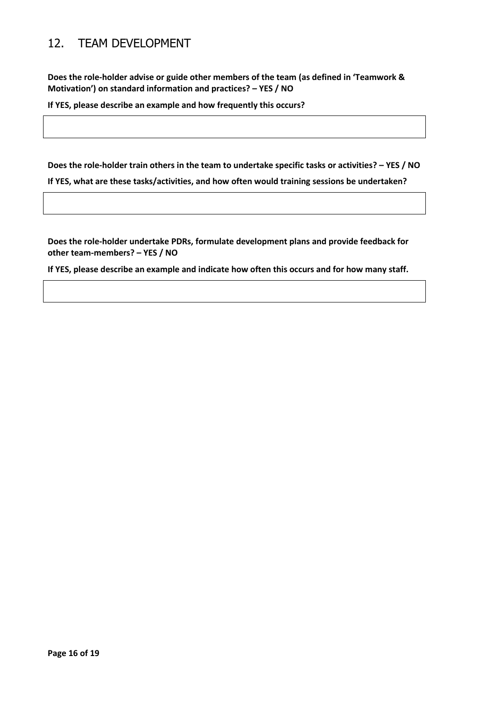# 12. TEAM DEVELOPMENT

**Does the role-holder advise or guide other members of the team (as defined in 'Teamwork & Motivation') on standard information and practices? – YES / NO**

**If YES, please describe an example and how frequently this occurs?**

**Does the role-holder train others in the team to undertake specific tasks or activities? – YES / NO**

**If YES, what are these tasks/activities, and how often would training sessions be undertaken?**

**Does the role-holder undertake PDRs, formulate development plans and provide feedback for other team-members? – YES / NO** 

**If YES, please describe an example and indicate how often this occurs and for how many staff.**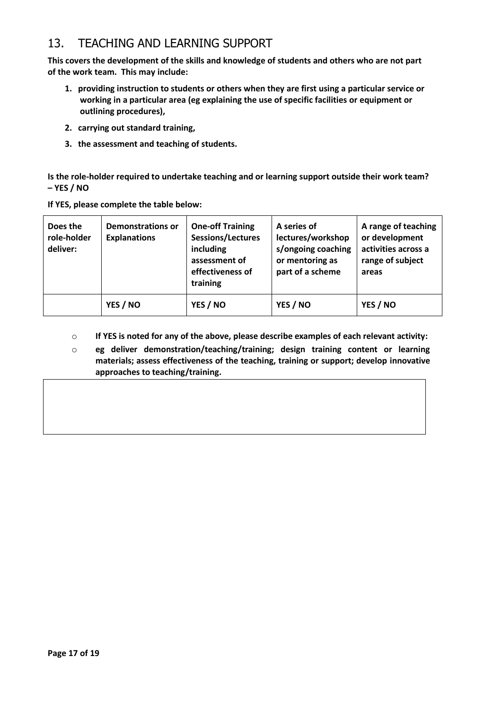## 13. TEACHING AND LEARNING SUPPORT

**This covers the development of the skills and knowledge of students and others who are not part of the work team. This may include:**

- **1. providing instruction to students or others when they are first using a particular service or working in a particular area (eg explaining the use of specific facilities or equipment or outlining procedures),**
- **2. carrying out standard training,**
- **3. the assessment and teaching of students.**

**Is the role-holder required to undertake teaching and or learning support outside their work team? – YES / NO**

| If YES, please complete the table below: |  |
|------------------------------------------|--|
|                                          |  |

| Does the<br>role-holder<br>deliver: | <b>Demonstrations or</b><br><b>Explanations</b> | <b>One-off Training</b><br>Sessions/Lectures<br>including<br>assessment of<br>effectiveness of<br>training | A series of<br>lectures/workshop<br>s/ongoing coaching<br>or mentoring as<br>part of a scheme | A range of teaching<br>or development<br>activities across a<br>range of subject<br>areas |
|-------------------------------------|-------------------------------------------------|------------------------------------------------------------------------------------------------------------|-----------------------------------------------------------------------------------------------|-------------------------------------------------------------------------------------------|
|                                     | YES / NO                                        | YES / NO                                                                                                   | YES / NO                                                                                      | YES / NO                                                                                  |

- o **If YES is noted for any of the above, please describe examples of each relevant activity:**
- o **eg deliver demonstration/teaching/training; design training content or learning materials; assess effectiveness of the teaching, training or support; develop innovative approaches to teaching/training.**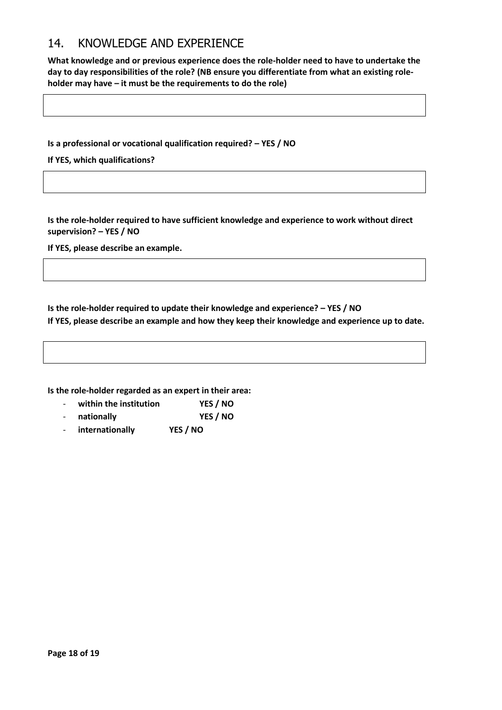### 14. KNOWLEDGE AND EXPERIENCE

**What knowledge and or previous experience does the role-holder need to have to undertake the day to day responsibilities of the role? (NB ensure you differentiate from what an existing roleholder may have – it must be the requirements to do the role)**

**Is a professional or vocational qualification required? – YES / NO**

**If YES, which qualifications?**

**Is the role-holder required to have sufficient knowledge and experience to work without direct supervision? – YES / NO**

**If YES, please describe an example.**

**Is the role-holder required to update their knowledge and experience? – YES / NO If YES, please describe an example and how they keep their knowledge and experience up to date.**

**Is the role-holder regarded as an expert in their area:**

- **within the institution YES / NO**
- **nationally YES / NO**
- **internationally YES / NO**